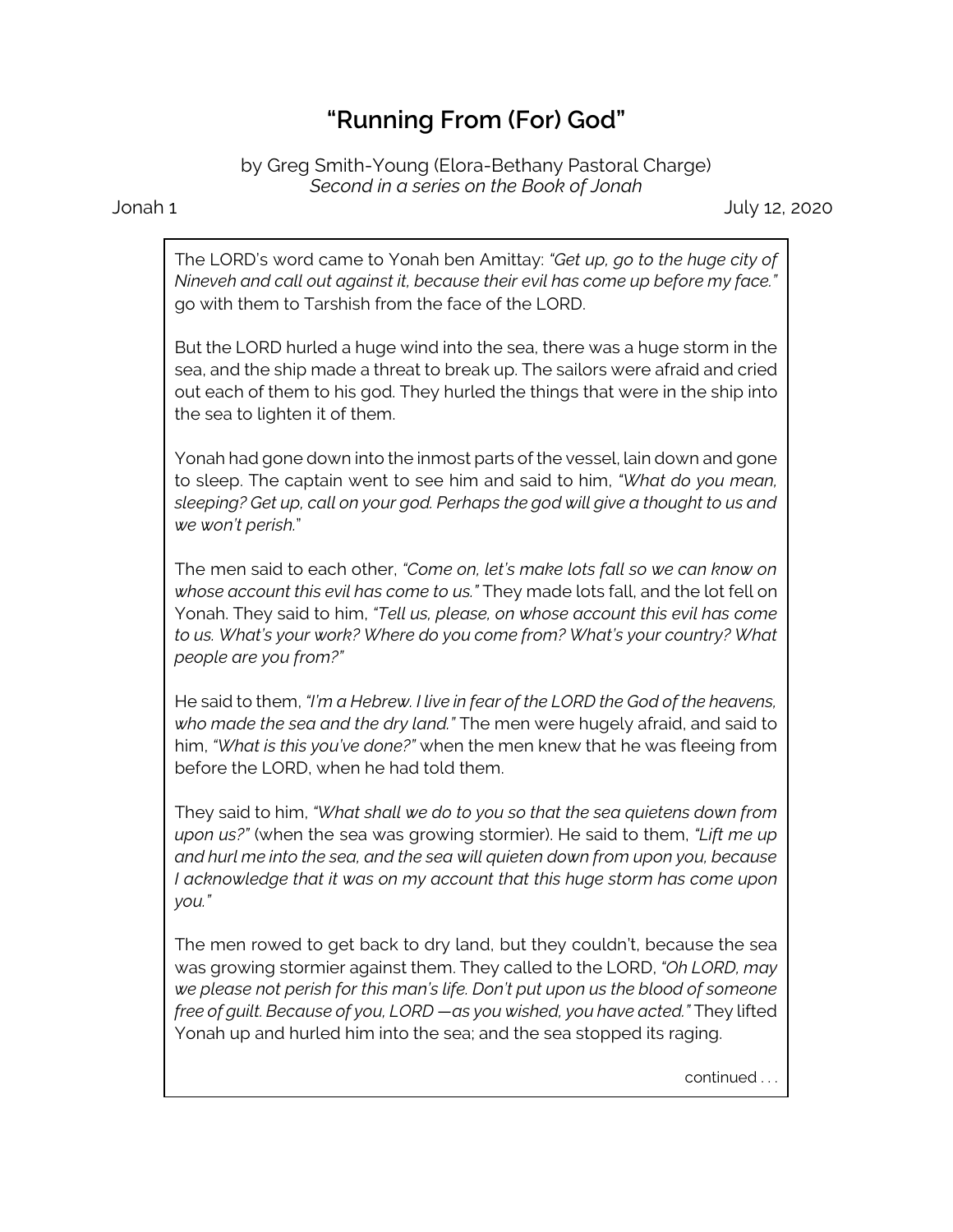## **"Running From (For) God"**

by Greg Smith-Young (Elora-Bethany Pastoral Charge) *Second in a series on the Book of Jonah*

Jonah 1 July 12, 2020

The LORD's word came to Yonah ben Amittay: *"Get up, go to the huge city of Nineveh and call out against it, because their evil has come up before my face."* go with them to Tarshish from the face of the LORD.

But the LORD hurled a huge wind into the sea, there was a huge storm in the sea, and the ship made a threat to break up. The sailors were afraid and cried out each of them to his god. They hurled the things that were in the ship into the sea to lighten it of them.

Yonah had gone down into the inmost parts of the vessel, lain down and gone to sleep. The captain went to see him and said to him, *"What do you mean, sleeping? Get up, call on your god. Perhaps the god will give a thought to us and we won't perish.*"

The men said to each other, *"Come on, let's make lots fall so we can know on whose account this evil has come to us."* They made lots fall, and the lot fell on Yonah. They said to him, *"Tell us, please, on whose account this evil has come to us. What's your work? Where do you come from? What's your country? What people are you from?"*

He said to them, *"I'm a Hebrew. I live in fear of the LORD the God of the heavens, who made the sea and the dry land."* The men were hugely afraid, and said to him, *"What is this you've done?"* when the men knew that he was fleeing from before the LORD, when he had told them.

They said to him, *"What shall we do to you so that the sea quietens down from upon us?"* (when the sea was growing stormier). He said to them, *"Lift me up and hurl me into the sea, and the sea will quieten down from upon you, because I acknowledge that it was on my account that this huge storm has come upon you."*

The men rowed to get back to dry land, but they couldn't, because the sea was growing stormier against them. They called to the LORD, *"Oh LORD, may we please not perish for this man's life. Don't put upon us the blood of someone free of guilt. Because of you, LORD —as you wished, you have acted."* They lifted Yonah up and hurled him into the sea; and the sea stopped its raging.

continued . . .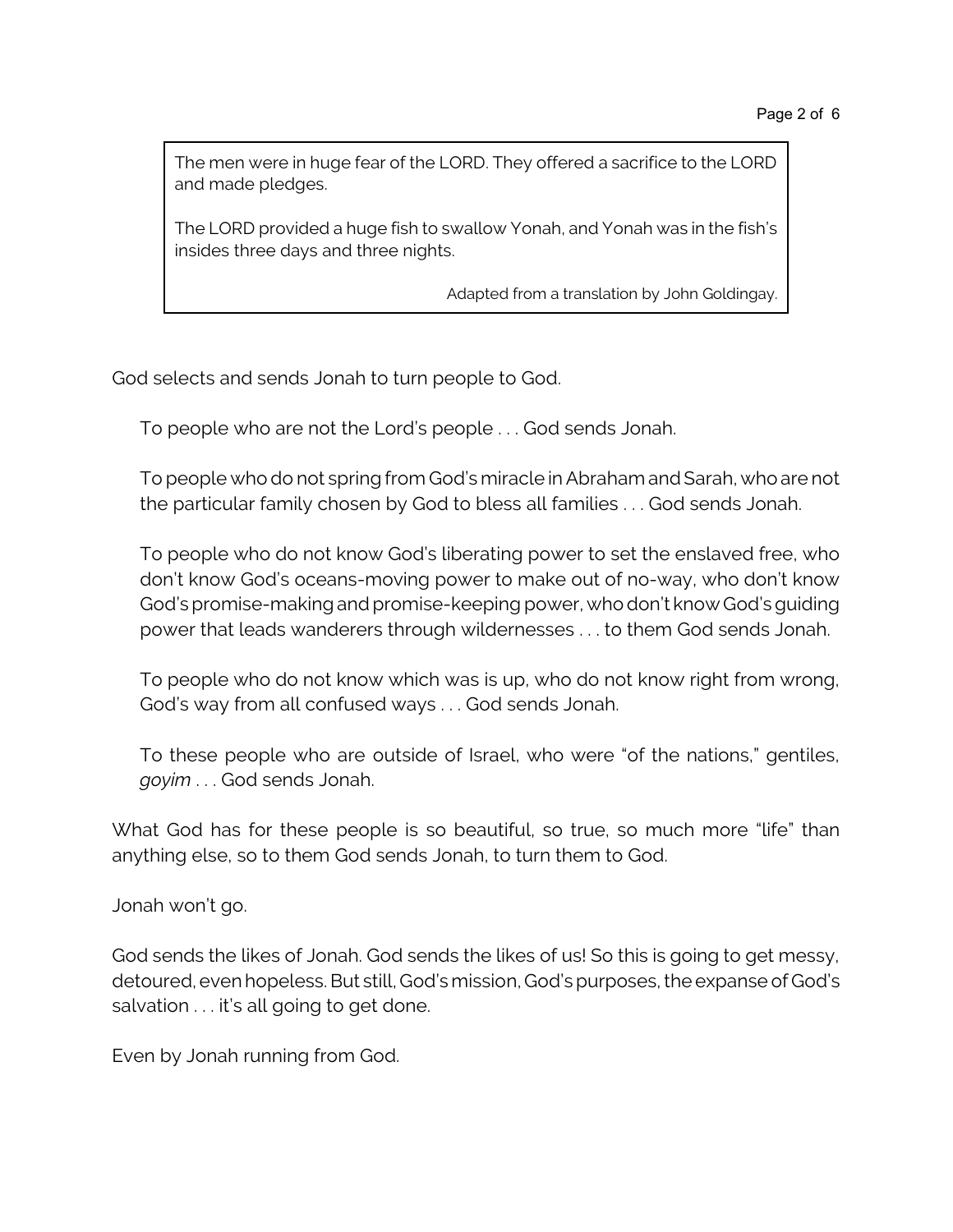The men were in huge fear of the LORD. They offered a sacrifice to the LORD and made pledges.

The LORD provided a huge fish to swallow Yonah, and Yonah was in the fish's insides three days and three nights.

Adapted from a translation by John Goldingay.

God selects and sends Jonah to turn people to God.

To people who are not the Lord's people . . . God sends Jonah.

To people who do not spring from God's miracle in Abraham and Sarah, who are not the particular family chosen by God to bless all families . . . God sends Jonah.

To people who do not know God's liberating power to set the enslaved free, who don't know God's oceans-moving power to make out of no-way, who don't know God's promise-making and promise-keeping power, whodon't know God's guiding power that leads wanderers through wildernesses . . . to them God sends Jonah.

To people who do not know which was is up, who do not know right from wrong, God's way from all confused ways . . . God sends Jonah.

To these people who are outside of Israel, who were "of the nations," gentiles, *goyim* . . . God sends Jonah.

What God has for these people is so beautiful, so true, so much more "life" than anything else, so to them God sends Jonah, to turn them to God.

Jonah won't go.

God sends the likes of Jonah. God sends the likes of us! So this is going to get messy, detoured, even hopeless. But still, God's mission, God's purposes, the expanse of God's salvation . . . it's all going to get done.

Even by Jonah running from God.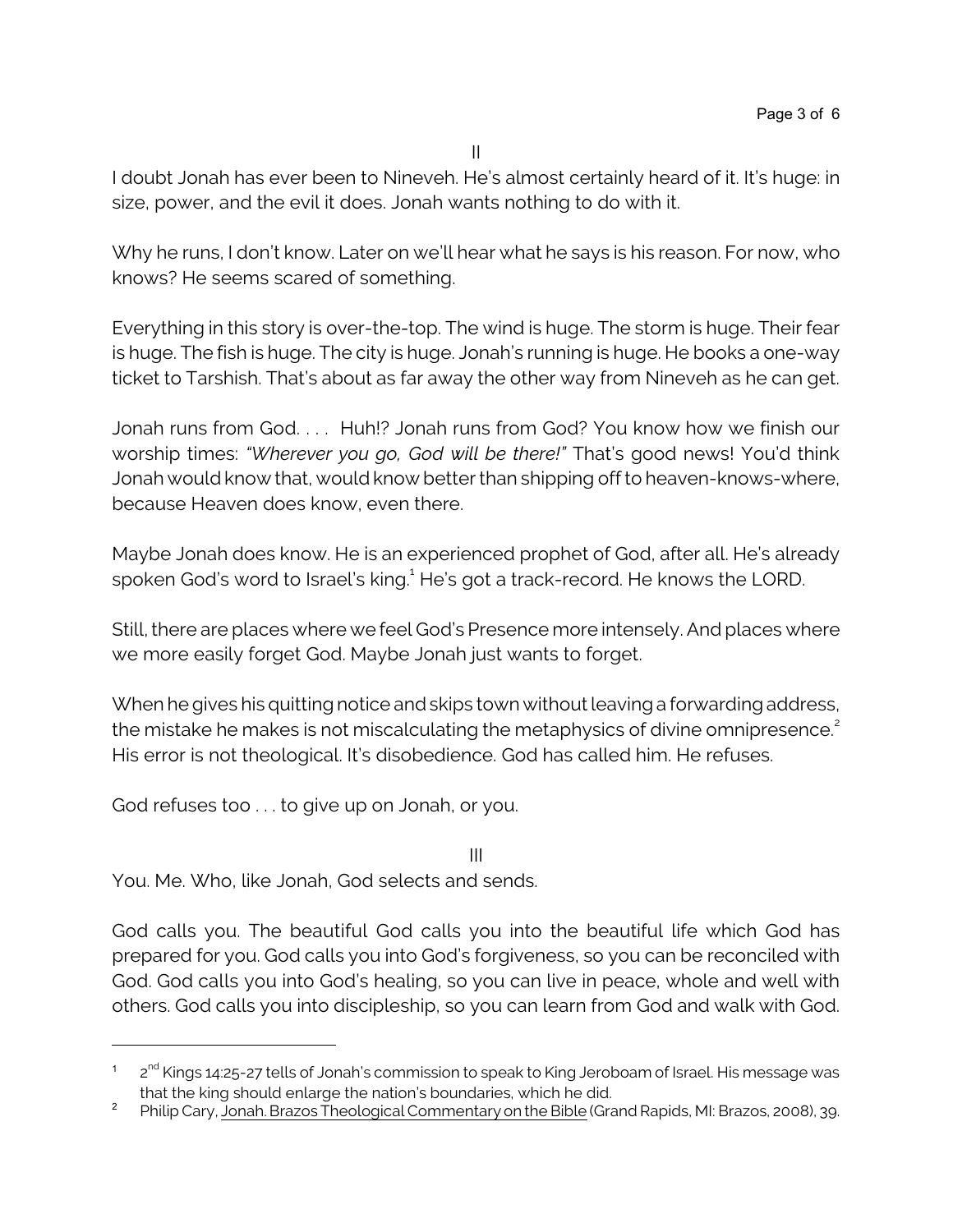II

I doubt Jonah has ever been to Nineveh. He's almost certainly heard of it. It's huge: in size, power, and the evil it does. Jonah wants nothing to do with it.

Why he runs, I don't know. Later on we'll hear what he says is his reason. For now, who knows? He seems scared of something.

Everything in this story is over-the-top. The wind is huge. The storm is huge. Their fear is huge. The fish is huge. The city is huge. Jonah's running is huge. He books a one-way ticket to Tarshish. That's about as far away the other way from Nineveh as he can get.

Jonah runs from God. . . . Huh!? Jonah runs from God? You know how we finish our worship times: *"Wherever you go, God will be there!"* That's good news! You'd think Jonah would know that, would know better than shipping off to heaven-knows-where, because Heaven does know, even there.

Maybe Jonah does know. He is an experienced prophet of God, after all. He's already spoken God's word to Israel's king.<sup>1</sup> He's got a track-record. He knows the LORD.

Still, there are places where we feel God's Presence more intensely. And places where we more easily forget God. Maybe Jonah just wants to forget.

When he gives his quitting notice and skips town without leaving a forwarding address, the mistake he makes is not miscalculating the metaphysics of divine omnipresence.<sup>2</sup> His error is not theological. It's disobedience. God has called him. He refuses.

God refuses too . . . to give up on Jonah, or you.

III

You. Me. Who, like Jonah, God selects and sends.

God calls you. The beautiful God calls you into the beautiful life which God has prepared for you. God calls you into God's forgiveness, so you can be reconciled with God. God calls you into God's healing, so you can live in peace, whole and well with others. God calls you into discipleship, so you can learn from God and walk with God.

 $^{\text{1}}$   $\,$  2 $^{\text{nd}}$  Kings 14:25-27 tells of Jonah's commission to speak to King Jeroboam of Israel. His message was that the king should enlarge the nation's boundaries, which he did.

<sup>&</sup>lt;sup>2</sup> Philip Cary, Jonah. Brazos Theological Commentary on the Bible (Grand Rapids, MI: Brazos, 2008), 39.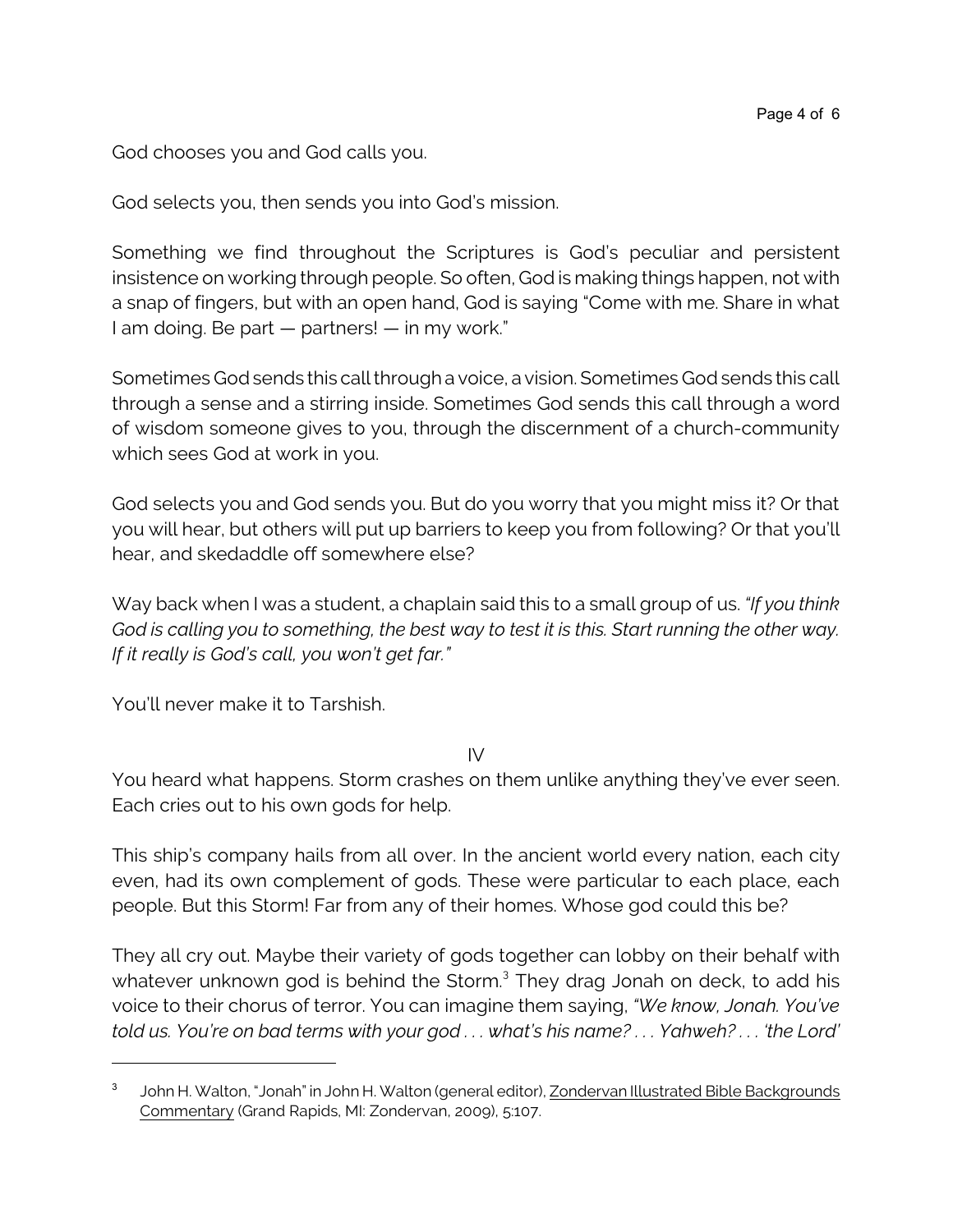God chooses you and God calls you.

God selects you, then sends you into God's mission.

Something we find throughout the Scriptures is God's peculiar and persistent insistence on working through people. So often, God is making things happen, not with a snap of fingers, but with an open hand, God is saying "Come with me. Share in what I am doing. Be part — partners! — in my work."

Sometimes Godsends this call through a voice, a vision. Sometimes God sends this call through a sense and a stirring inside. Sometimes God sends this call through a word of wisdom someone gives to you, through the discernment of a church-community which sees God at work in you.

God selects you and God sends you. But do you worry that you might miss it? Or that you will hear, but others will put up barriers to keep you from following? Or that you'll hear, and skedaddle off somewhere else?

Way back when I was a student, a chaplain said this to a small group of us. *"If you think God is calling you to something, the best way to test it is this. Start running the other way. If it really is God's call, you won't get far."*

You'll never make it to Tarshish.

IV

You heard what happens. Storm crashes on them unlike anything they've ever seen. Each cries out to his own gods for help.

This ship's company hails from all over. In the ancient world every nation, each city even, had its own complement of gods. These were particular to each place, each people. But this Storm! Far from any of their homes. Whose god could this be?

They all cry out. Maybe their variety of gods together can lobby on their behalf with whatever unknown god is behind the Storm.<sup>3</sup> They drag Jonah on deck, to add his voice to their chorus of terror. You can imagine them saying, *"We know, Jonah. You've told us. You're on bad terms with your god . . . what's his name? . . . Yahweh? . . . 'the Lord'*

<sup>3</sup> John H. Walton, "Jonah" in John H. Walton (general editor), Zondervan Illustrated Bible Backgrounds Commentary (Grand Rapids, MI: Zondervan, 2009), 5:107.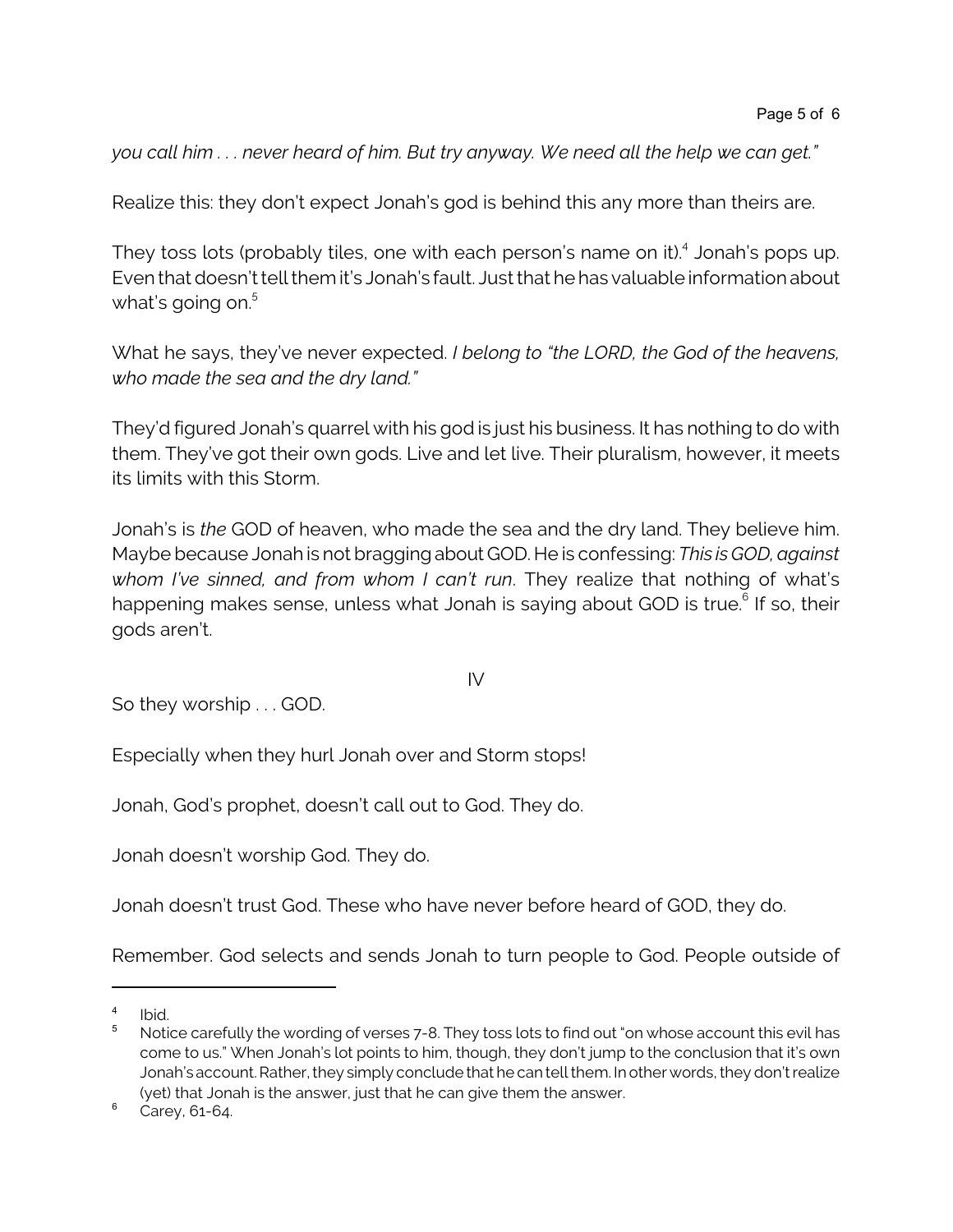*you call him . . . never heard of him. But try anyway. We need all the help we can get."*

Realize this: they don't expect Jonah's god is behind this any more than theirs are.

They toss lots (probably tiles, one with each person's name on it).<sup>4</sup> Jonah's pops up. Even that doesn't tell them it's Jonah's fault. Just that he has valuable information about what's going on. $^{\rm 5}$ 

What he says, they've never expected. *I belong to "the LORD, the God of the heavens, who made the sea and the dry land."*

They'd figured Jonah's quarrel with his god is just his business. It has nothing to do with them. They've got their own gods. Live and let live. Their pluralism, however, it meets its limits with this Storm.

Jonah's is *the* GOD of heaven, who made the sea and the dry land. They believe him. Maybe because Jonah is not braggingabout GOD. He is confessing: *This is GOD, against whom I've sinned, and from whom I can't run*. They realize that nothing of what's happening makes sense, unless what Jonah is saying about GOD is true.<sup>6</sup> If so, their gods aren't.

IV

So they worship . . . GOD.

Especially when they hurl Jonah over and Storm stops!

Jonah, God's prophet, doesn't call out to God. They do.

Jonah doesn't worship God. They do.

Jonah doesn't trust God. These who have never before heard of GOD, they do.

Remember. God selects and sends Jonah to turn people to God. People outside of

<sup>4</sup> Ibid.

<sup>&</sup>lt;sup>5</sup> Notice carefully the wording of verses 7-8. They toss lots to find out "on whose account this evil has come to us." When Jonah's lot points to him, though, they don't jump to the conclusion that it's own Jonah's account. Rather, they simply conclude that he can tellthem. In other words, they don't realize (yet) that Jonah is the answer, just that he can give them the answer.

 $6 \text{ Carey}$ , 61-64.